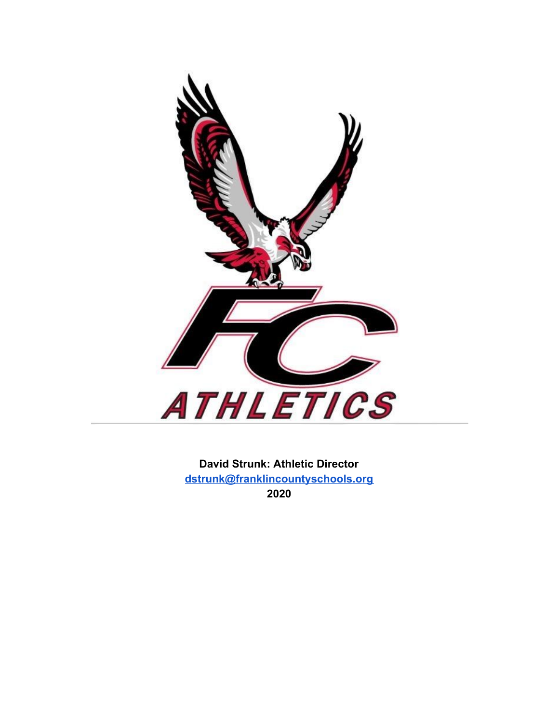

**David Strunk: Athletic Director [dstrunk@franklincountyschools.org](mailto:dstrunk@franklincountyschools.org) 2020**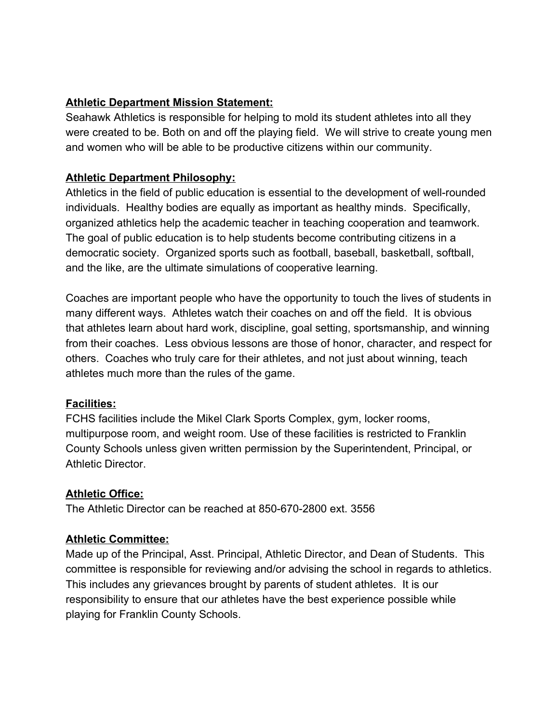# **Athletic Department Mission Statement:**

Seahawk Athletics is responsible for helping to mold its student athletes into all they were created to be. Both on and off the playing field. We will strive to create young men and women who will be able to be productive citizens within our community.

# **Athletic Department Philosophy:**

Athletics in the field of public education is essential to the development of well-rounded individuals. Healthy bodies are equally as important as healthy minds. Specifically, organized athletics help the academic teacher in teaching cooperation and teamwork. The goal of public education is to help students become contributing citizens in a democratic society. Organized sports such as football, baseball, basketball, softball, and the like, are the ultimate simulations of cooperative learning.

Coaches are important people who have the opportunity to touch the lives of students in many different ways. Athletes watch their coaches on and off the field. It is obvious that athletes learn about hard work, discipline, goal setting, sportsmanship, and winning from their coaches. Less obvious lessons are those of honor, character, and respect for others. Coaches who truly care for their athletes, and not just about winning, teach athletes much more than the rules of the game.

### **Facilities:**

FCHS facilities include the Mikel Clark Sports Complex, gym, locker rooms, multipurpose room, and weight room. Use of these facilities is restricted to Franklin County Schools unless given written permission by the Superintendent, Principal, or Athletic Director.

# **Athletic Office:**

The Athletic Director can be reached at 850-670-2800 ext. 3556

# **Athletic Committee:**

Made up of the Principal, Asst. Principal, Athletic Director, and Dean of Students. This committee is responsible for reviewing and/or advising the school in regards to athletics. This includes any grievances brought by parents of student athletes. It is our responsibility to ensure that our athletes have the best experience possible while playing for Franklin County Schools.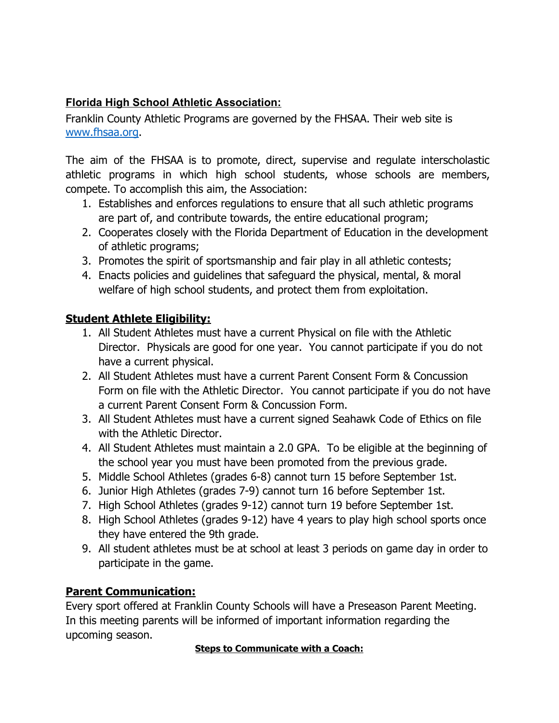# **Florida High School Athletic Association:**

Franklin County Athletic Programs are governed by the FHSAA. Their web site is [www.fhsaa.org.](http://www.fhsaa.org/)

The aim of the FHSAA is to promote, direct, supervise and regulate interscholastic athletic programs in which high school students, whose schools are members, compete. To accomplish this aim, the Association:

- 1. Establishes and enforces regulations to ensure that all such athletic programs are part of, and contribute towards, the entire educational program;
- 2. Cooperates closely with the Florida Department of Education in the development of athletic programs;
- 3. Promotes the spirit of sportsmanship and fair play in all athletic contests;
- 4. Enacts policies and guidelines that safeguard the physical, mental, & moral welfare of high school students, and protect them from exploitation.

# **Student Athlete Eligibility:**

- 1. All Student Athletes must have a current Physical on file with the Athletic Director. Physicals are good for one year. You cannot participate if you do not have a current physical.
- 2. All Student Athletes must have a current Parent Consent Form & Concussion Form on file with the Athletic Director. You cannot participate if you do not have a current Parent Consent Form & Concussion Form.
- 3. All Student Athletes must have a current signed Seahawk Code of Ethics on file with the Athletic Director.
- 4. All Student Athletes must maintain a 2.0 GPA. To be eligible at the beginning of the school year you must have been promoted from the previous grade.
- 5. Middle School Athletes (grades 6-8) cannot turn 15 before September 1st.
- 6. Junior High Athletes (grades 7-9) cannot turn 16 before September 1st.
- 7. High School Athletes (grades 9-12) cannot turn 19 before September 1st.
- 8. High School Athletes (grades 9-12) have 4 years to play high school sports once they have entered the 9th grade.
- 9. All student athletes must be at school at least 3 periods on game day in order to participate in the game.

# **Parent Communication:**

Every sport offered at Franklin County Schools will have a Preseason Parent Meeting. In this meeting parents will be informed of important information regarding the upcoming season.

### **Steps to Communicate with a Coach:**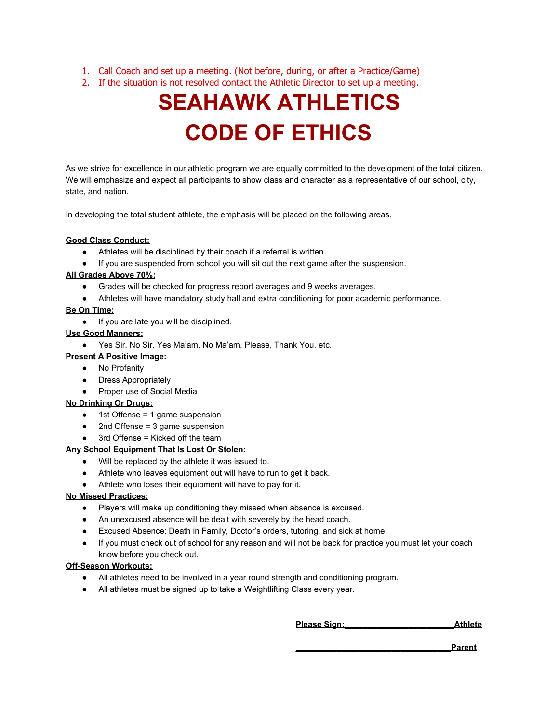- 1. Call Coach and set up a meeting. (Not before, during, or after a Practice/Game)
- 2. If the situation is not resolved contact the Athletic Director to set up a meeting.

# **SEAHAWK ATHLETICS CODE OF ETHICS**

As we strive for excellence in our athletic program we are equally committed to the development of the total citizen. We will emphasize and expect all participants to show class and character as a representative of our school, city, state, and nation.

In developing the total student athlete, the emphasis will be placed on the following areas.

#### **Good Class Conduct:**

- Athletes will be disciplined by their coach if a referral is written.
- If you are suspended from school you will sit out the next game after the suspension.

#### **All Grades Above 70%:**

- Grades will be checked for progress report averages and 9 weeks averages.
- Athletes will have mandatory study hall and extra conditioning for poor academic performance.

#### **Be On Time:**

● If you are late you will be disciplined.

#### **Use Good Manners:**

● Yes Sir, No Sir, Yes Ma'am, No Ma'am, Please, Thank You, etc.

#### **Present A Positive Image:**

- No Profanity
- Dress Appropriately
- Proper use of Social Media

#### **No Drinking Or Drugs:**

- 1st Offense = 1 game suspension
- 2nd Offense = 3 game suspension
- $\log$  3rd Offense = Kicked off the team

#### **Any School Equipment That Is Lost Or Stolen:**

- Will be replaced by the athlete it was issued to.
- Athlete who leaves equipment out will have to run to get it back.
- Athlete who loses their equipment will have to pay for it.

#### **No Missed Practices:**

- Players will make up conditioning they missed when absence is excused.
- An unexcused absence will be dealt with severely by the head coach.
- Excused Absence: Death in Family, Doctor's orders, tutoring, and sick at home.
- If you must check out of school for any reason and will not be back for practice you must let your coach know before you check out.

#### **Off-Season Workouts:**

- All athletes need to be involved in a year round strength and conditioning program.
- All athletes must be signed up to take a Weightlifting Class every year.

**Please Sign:\_\_\_\_\_\_\_\_\_\_\_\_\_\_\_\_\_\_\_\_\_\_\_\_Athlete**

**\_\_\_\_\_\_\_\_\_\_\_\_\_\_\_\_\_\_\_\_\_\_\_\_\_\_\_\_\_\_\_\_\_\_Parent**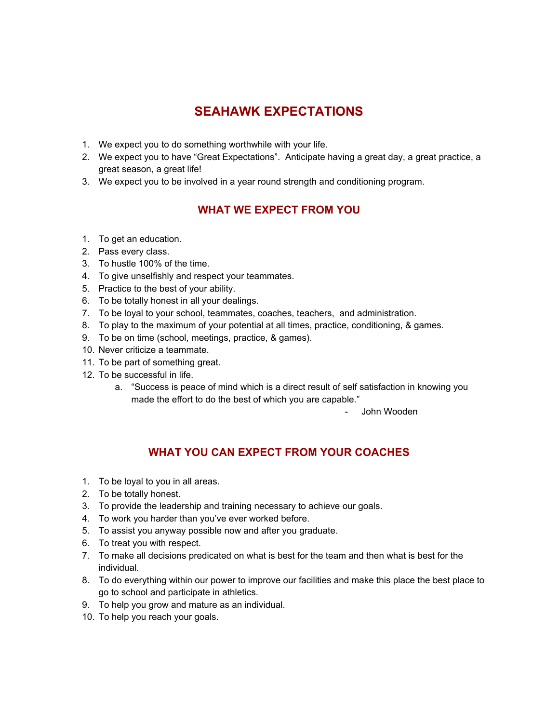# **SEAHAWK EXPECTATIONS**

- 1. We expect you to do something worthwhile with your life.
- 2. We expect you to have "Great Expectations". Anticipate having a great day, a great practice, a great season, a great life!
- 3. We expect you to be involved in a year round strength and conditioning program.

# **WHAT WE EXPECT FROM YOU**

- 1. To get an education.
- 2. Pass every class.
- 3. To hustle 100% of the time.
- 4. To give unselfishly and respect your teammates.
- 5. Practice to the best of your ability.
- 6. To be totally honest in all your dealings.
- 7. To be loyal to your school, teammates, coaches, teachers, and administration.
- 8. To play to the maximum of your potential at all times, practice, conditioning, & games.
- 9. To be on time (school, meetings, practice, & games).
- 10. Never criticize a teammate.
- 11. To be part of something great.
- 12. To be successful in life.
	- a. "Success is peace of mind which is a direct result of self satisfaction in knowing you made the effort to do the best of which you are capable."

- John Wooden

# **WHAT YOU CAN EXPECT FROM YOUR COACHES**

- 1. To be loyal to you in all areas.
- 2. To be totally honest.
- 3. To provide the leadership and training necessary to achieve our goals.
- 4. To work you harder than you've ever worked before.
- 5. To assist you anyway possible now and after you graduate.
- 6. To treat you with respect.
- 7. To make all decisions predicated on what is best for the team and then what is best for the individual.
- 8. To do everything within our power to improve our facilities and make this place the best place to go to school and participate in athletics.
- 9. To help you grow and mature as an individual.
- 10. To help you reach your goals.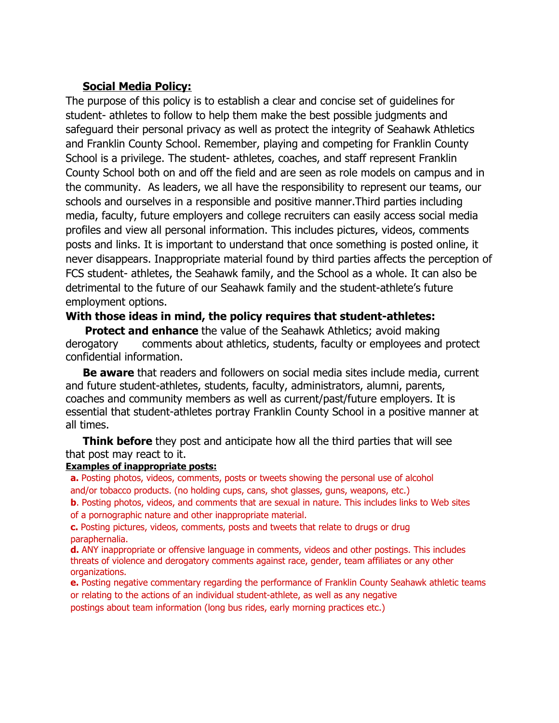## **Social Media Policy:**

The purpose of this policy is to establish a clear and concise set of guidelines for student- athletes to follow to help them make the best possible judgments and safeguard their personal privacy as well as protect the integrity of Seahawk Athletics and Franklin County School. Remember, playing and competing for Franklin County School is a privilege. The student- athletes, coaches, and staff represent Franklin County School both on and off the field and are seen as role models on campus and in the community. As leaders, we all have the responsibility to represent our teams, our schools and ourselves in a responsible and positive manner.Third parties including media, faculty, future employers and college recruiters can easily access social media profiles and view all personal information. This includes pictures, videos, comments posts and links. It is important to understand that once something is posted online, it never disappears. Inappropriate material found by third parties affects the perception of FCS student- athletes, the Seahawk family, and the School as a whole. It can also be detrimental to the future of our Seahawk family and the student-athlete's future employment options.

### **With those ideas in mind, the policy requires that student-athletes:**

**Protect and enhance** the value of the Seahawk Athletics; avoid making derogatory comments about athletics, students, faculty or employees and protect confidential information.

**Be aware** that readers and followers on social media sites include media, current and future student-athletes, students, faculty, administrators, alumni, parents, coaches and community members as well as current/past/future employers. It is essential that student-athletes portray Franklin County School in a positive manner at all times.

**Think before** they post and anticipate how all the third parties that will see that post may react to it.

#### **Examples of inappropriate posts:**

**a.** Posting photos, videos, comments, posts or tweets showing the personal use of alcohol and/or tobacco products. (no holding cups, cans, shot glasses, guns, weapons, etc.)

**b**. Posting photos, videos, and comments that are sexual in nature. This includes links to Web sites of a pornographic nature and other inappropriate material.

**c.** Posting pictures, videos, comments, posts and tweets that relate to drugs or drug paraphernalia.

**d.** ANY inappropriate or offensive language in comments, videos and other postings. This includes threats of violence and derogatory comments against race, gender, team affiliates or any other organizations.

**e.** Posting negative commentary regarding the performance of Franklin County Seahawk athletic teams or relating to the actions of an individual student-athlete, as well as any negative

postings about team information (long bus rides, early morning practices etc.)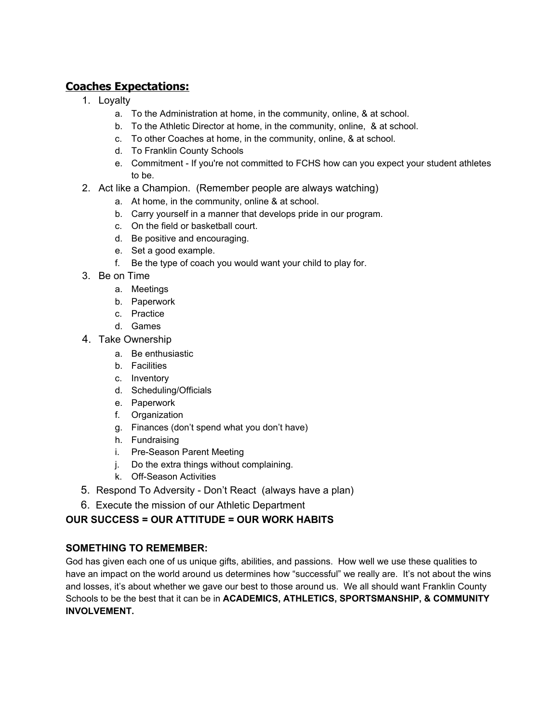# **Coaches Expectations:**

- 1. Loyalty
	- a. To the Administration at home, in the community, online, & at school.
	- b. To the Athletic Director at home, in the community, online, & at school.
	- c. To other Coaches at home, in the community, online, & at school.
	- d. To Franklin County Schools
	- e. Commitment If you're not committed to FCHS how can you expect your student athletes to be.
- 2. Act like a Champion. (Remember people are always watching)
	- a. At home, in the community, online & at school.
	- b. Carry yourself in a manner that develops pride in our program.
	- c. On the field or basketball court.
	- d. Be positive and encouraging.
	- e. Set a good example.
	- f. Be the type of coach you would want your child to play for.
- 3. Be on Time
	- a. Meetings
	- b. Paperwork
	- c. Practice
	- d. Games
- 4. Take Ownership
	- a. Be enthusiastic
	- b. Facilities
	- c. Inventory
	- d. Scheduling/Officials
	- e. Paperwork
	- f. Organization
	- g. Finances (don't spend what you don't have)
	- h. Fundraising
	- i. Pre-Season Parent Meeting
	- j. Do the extra things without complaining.
	- k. Off-Season Activities
- 5. Respond To Adversity Don't React (always have a plan)
- 6. Execute the mission of our Athletic Department

### **OUR SUCCESS = OUR ATTITUDE = OUR WORK HABITS**

#### **SOMETHING TO REMEMBER:**

God has given each one of us unique gifts, abilities, and passions. How well we use these qualities to have an impact on the world around us determines how "successful" we really are. It's not about the wins and losses, it's about whether we gave our best to those around us. We all should want Franklin County Schools to be the best that it can be in **ACADEMICS, ATHLETICS, SPORTSMANSHIP, & COMMUNITY INVOLVEMENT.**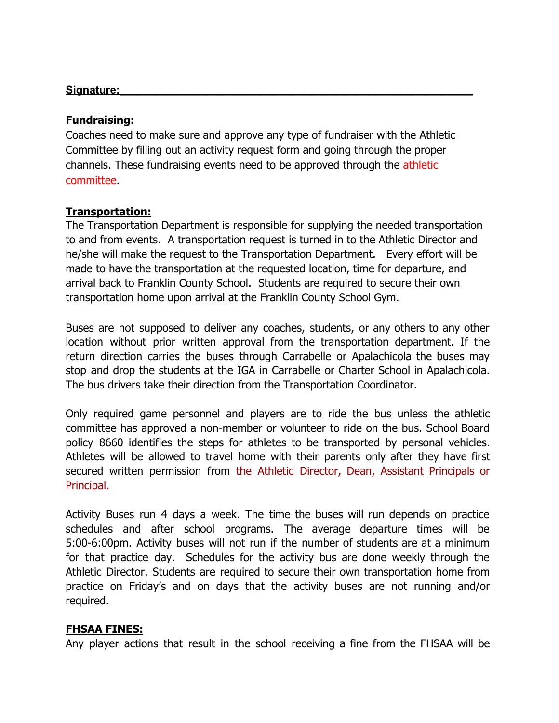#### Signature:

### **Fundraising:**

Coaches need to make sure and approve any type of fundraiser with the Athletic Committee by filling out an activity request form and going through the proper channels. These fundraising events need to be approved through the athletic committee.

### **Transportation:**

The Transportation Department is responsible for supplying the needed transportation to and from events. A transportation request is turned in to the Athletic Director and he/she will make the request to the Transportation Department. Every effort will be made to have the transportation at the requested location, time for departure, and arrival back to Franklin County School. Students are required to secure their own transportation home upon arrival at the Franklin County School Gym.

Buses are not supposed to deliver any coaches, students, or any others to any other location without prior written approval from the transportation department. If the return direction carries the buses through Carrabelle or Apalachicola the buses may stop and drop the students at the IGA in Carrabelle or Charter School in Apalachicola. The bus drivers take their direction from the Transportation Coordinator.

Only required game personnel and players are to ride the bus unless the athletic committee has approved a non-member or volunteer to ride on the bus. School Board policy 8660 identifies the steps for athletes to be transported by personal vehicles. Athletes will be allowed to travel home with their parents only after they have first secured written permission from the Athletic Director, Dean, Assistant Principals or Principal.

Activity Buses run 4 days a week. The time the buses will run depends on practice schedules and after school programs. The average departure times will be 5:00-6:00pm. Activity buses will not run if the number of students are at a minimum for that practice day. Schedules for the activity bus are done weekly through the Athletic Director. Students are required to secure their own transportation home from practice on Friday's and on days that the activity buses are not running and/or required.

### **FHSAA FINES:**

Any player actions that result in the school receiving a fine from the FHSAA will be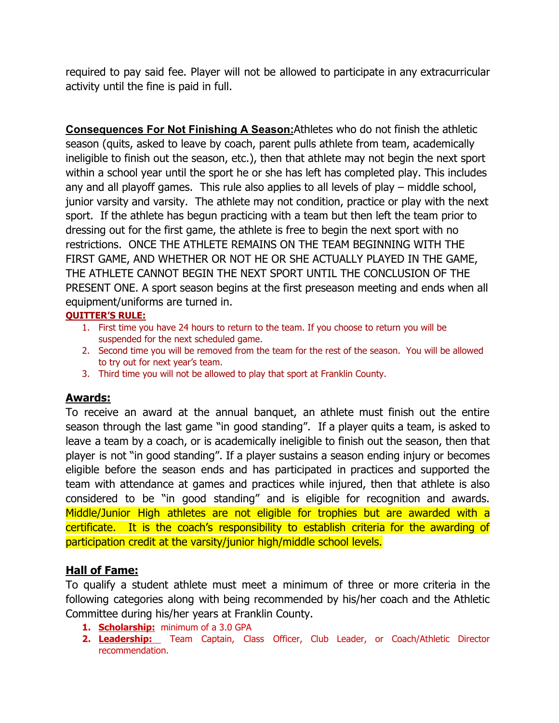required to pay said fee. Player will not be allowed to participate in any extracurricular activity until the fine is paid in full.

**Consequences For Not Finishing A Season:**Athletes who do not finish the athletic season (quits, asked to leave by coach, parent pulls athlete from team, academically ineligible to finish out the season, etc.), then that athlete may not begin the next sport within a school year until the sport he or she has left has completed play. This includes any and all playoff games. This rule also applies to all levels of play – middle school, junior varsity and varsity. The athlete may not condition, practice or play with the next sport. If the athlete has begun practicing with a team but then left the team prior to dressing out for the first game, the athlete is free to begin the next sport with no restrictions. ONCE THE ATHLETE REMAINS ON THE TEAM BEGINNING WITH THE FIRST GAME, AND WHETHER OR NOT HE OR SHE ACTUALLY PLAYED IN THE GAME, THE ATHLETE CANNOT BEGIN THE NEXT SPORT UNTIL THE CONCLUSION OF THE PRESENT ONE. A sport season begins at the first preseason meeting and ends when all equipment/uniforms are turned in.

### **QUITTER'S RULE:**

- 1. First time you have 24 hours to return to the team. If you choose to return you will be suspended for the next scheduled game.
- 2. Second time you will be removed from the team for the rest of the season. You will be allowed to try out for next year's team.
- 3. Third time you will not be allowed to play that sport at Franklin County.

# **Awards:**

To receive an award at the annual banquet, an athlete must finish out the entire season through the last game "in good standing". If a player quits a team, is asked to leave a team by a coach, or is academically ineligible to finish out the season, then that player is not "in good standing". If a player sustains a season ending injury or becomes eligible before the season ends and has participated in practices and supported the team with attendance at games and practices while injured, then that athlete is also considered to be "in good standing" and is eligible for recognition and awards. Middle/Junior High athletes are not eligible for trophies but are awarded with a certificate. It is the coach's responsibility to establish criteria for the awarding of participation credit at the varsity/junior high/middle school levels.

# **Hall of Fame:**

To qualify a student athlete must meet a minimum of three or more criteria in the following categories along with being recommended by his/her coach and the Athletic Committee during his/her years at Franklin County.

- **1. Scholarship:** minimum of a 3.0 GPA
- **2. Leadership:** Team Captain, Class Officer, Club Leader, or Coach/Athletic Director recommendation.